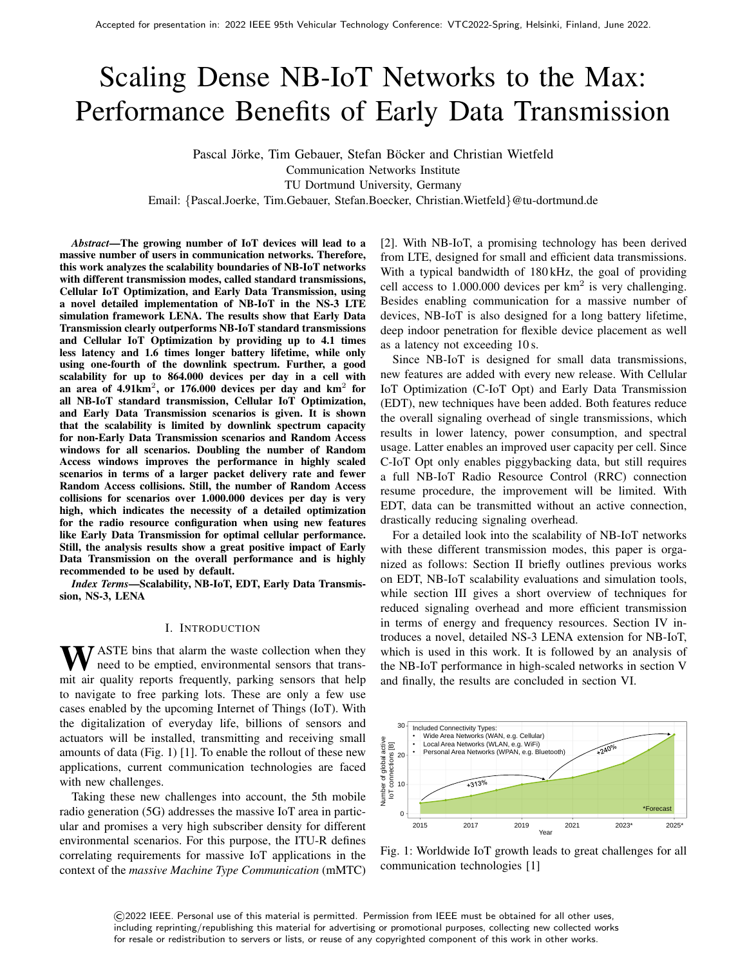# Scaling Dense NB-IoT Networks to the Max: Performance Benefits of Early Data Transmission

Pascal Jörke, Tim Gebauer, Stefan Böcker and Christian Wietfeld Communication Networks Institute TU Dortmund University, Germany Email: {Pascal.Joerke, Tim.Gebauer, Stefan.Boecker, Christian.Wietfeld}@tu-dortmund.de

*Abstract*—The growing number of IoT devices will lead to a massive number of users in communication networks. Therefore, this work analyzes the scalability boundaries of NB-IoT networks with different transmission modes, called standard transmissions, Cellular IoT Optimization, and Early Data Transmission, using a novel detailed implementation of NB-IoT in the NS-3 LTE simulation framework LENA. The results show that Early Data Transmission clearly outperforms NB-IoT standard transmissions and Cellular IoT Optimization by providing up to 4.1 times less latency and 1.6 times longer battery lifetime, while only using one-fourth of the downlink spectrum. Further, a good scalability for up to 864.000 devices per day in a cell with an area of 4.91km<sup>2</sup>, or 176.000 devices per day and km<sup>2</sup> for all NB-IoT standard transmission, Cellular IoT Optimization, and Early Data Transmission scenarios is given. It is shown that the scalability is limited by downlink spectrum capacity for non-Early Data Transmission scenarios and Random Access windows for all scenarios. Doubling the number of Random Access windows improves the performance in highly scaled scenarios in terms of a larger packet delivery rate and fewer Random Access collisions. Still, the number of Random Access collisions for scenarios over 1.000.000 devices per day is very high, which indicates the necessity of a detailed optimization for the radio resource configuration when using new features like Early Data Transmission for optimal cellular performance. Still, the analysis results show a great positive impact of Early Data Transmission on the overall performance and is highly recommended to be used by default.

*Index Terms*—Scalability, NB-IoT, EDT, Early Data Transmission, NS-3, LENA

#### I. INTRODUCTION

**W** ASTE bins that alarm the waste collection when they need to be emptied, environmental sensors that transmit air quality reports frequently, parking sensors that help to navigate to free parking lots. These are only a few use cases enabled by the upcoming Internet of Things (IoT). With the digitalization of everyday life, billions of sensors and actuators will be installed, transmitting and receiving small amounts of data (Fig. 1) [1]. To enable the rollout of these new applications, current communication technologies are faced with new challenges.

Taking these new challenges into account, the 5th mobile radio generation (5G) addresses the massive IoT area in particular and promises a very high subscriber density for different environmental scenarios. For this purpose, the ITU-R defines correlating requirements for massive IoT applications in the context of the *massive Machine Type Communication* (mMTC) [2]. With NB-IoT, a promising technology has been derived from LTE, designed for small and efficient data transmissions. With a typical bandwidth of 180 kHz, the goal of providing cell access to  $1.000.000$  devices per km<sup>2</sup> is very challenging. Besides enabling communication for a massive number of devices, NB-IoT is also designed for a long battery lifetime, deep indoor penetration for flexible device placement as well as a latency not exceeding 10 s.

Since NB-IoT is designed for small data transmissions, new features are added with every new release. With Cellular IoT Optimization (C-IoT Opt) and Early Data Transmission (EDT), new techniques have been added. Both features reduce the overall signaling overhead of single transmissions, which results in lower latency, power consumption, and spectral usage. Latter enables an improved user capacity per cell. Since C-IoT Opt only enables piggybacking data, but still requires a full NB-IoT Radio Resource Control (RRC) connection resume procedure, the improvement will be limited. With EDT, data can be transmitted without an active connection, drastically reducing signaling overhead.

For a detailed look into the scalability of NB-IoT networks with these different transmission modes, this paper is organized as follows: Section II briefly outlines previous works on EDT, NB-IoT scalability evaluations and simulation tools, while section III gives a short overview of techniques for reduced signaling overhead and more efficient transmission in terms of energy and frequency resources. Section IV introduces a novel, detailed NS-3 LENA extension for NB-IoT, which is used in this work. It is followed by an analysis of the NB-IoT performance in high-scaled networks in section V and finally, the results are concluded in section VI.



Fig. 1: Worldwide IoT growth leads to great challenges for all communication technologies [1]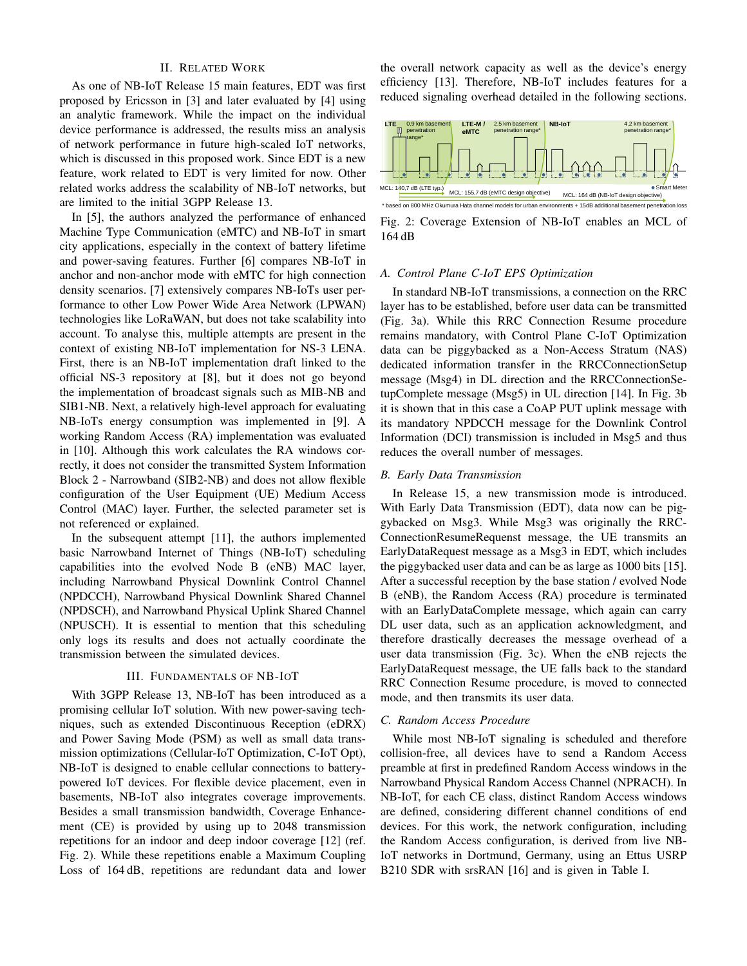# II. RELATED WORK

As one of NB-IoT Release 15 main features, EDT was first proposed by Ericsson in [3] and later evaluated by [4] using an analytic framework. While the impact on the individual device performance is addressed, the results miss an analysis of network performance in future high-scaled IoT networks, which is discussed in this proposed work. Since EDT is a new feature, work related to EDT is very limited for now. Other related works address the scalability of NB-IoT networks, but are limited to the initial 3GPP Release 13.

In [5], the authors analyzed the performance of enhanced Machine Type Communication (eMTC) and NB-IoT in smart city applications, especially in the context of battery lifetime and power-saving features. Further [6] compares NB-IoT in anchor and non-anchor mode with eMTC for high connection density scenarios. [7] extensively compares NB-IoTs user performance to other Low Power Wide Area Network (LPWAN) technologies like LoRaWAN, but does not take scalability into account. To analyse this, multiple attempts are present in the context of existing NB-IoT implementation for NS-3 LENA. First, there is an NB-IoT implementation draft linked to the official NS-3 repository at [8], but it does not go beyond the implementation of broadcast signals such as MIB-NB and SIB1-NB. Next, a relatively high-level approach for evaluating NB-IoTs energy consumption was implemented in [9]. A working Random Access (RA) implementation was evaluated in [10]. Although this work calculates the RA windows correctly, it does not consider the transmitted System Information Block 2 - Narrowband (SIB2-NB) and does not allow flexible configuration of the User Equipment (UE) Medium Access Control (MAC) layer. Further, the selected parameter set is not referenced or explained.

In the subsequent attempt [11], the authors implemented basic Narrowband Internet of Things (NB-IoT) scheduling capabilities into the evolved Node B (eNB) MAC layer, including Narrowband Physical Downlink Control Channel (NPDCCH), Narrowband Physical Downlink Shared Channel (NPDSCH), and Narrowband Physical Uplink Shared Channel (NPUSCH). It is essential to mention that this scheduling only logs its results and does not actually coordinate the transmission between the simulated devices.

#### III. FUNDAMENTALS OF NB-IOT

With 3GPP Release 13, NB-IoT has been introduced as a promising cellular IoT solution. With new power-saving techniques, such as extended Discontinuous Reception (eDRX) and Power Saving Mode (PSM) as well as small data transmission optimizations (Cellular-IoT Optimization, C-IoT Opt), NB-IoT is designed to enable cellular connections to batterypowered IoT devices. For flexible device placement, even in basements, NB-IoT also integrates coverage improvements. Besides a small transmission bandwidth, Coverage Enhancement (CE) is provided by using up to 2048 transmission repetitions for an indoor and deep indoor coverage [12] (ref. Fig. 2). While these repetitions enable a Maximum Coupling Loss of 164 dB, repetitions are redundant data and lower the overall network capacity as well as the device's energy efficiency [13]. Therefore, NB-IoT includes features for a reduced signaling overhead detailed in the following sections.



Fig. 2: Coverage Extension of NB-IoT enables an MCL of 164 dB

## *A. Control Plane C-IoT EPS Optimization*

In standard NB-IoT transmissions, a connection on the RRC layer has to be established, before user data can be transmitted (Fig. 3a). While this RRC Connection Resume procedure remains mandatory, with Control Plane C-IoT Optimization data can be piggybacked as a Non-Access Stratum (NAS) dedicated information transfer in the RRCConnectionSetup message (Msg4) in DL direction and the RRCConnectionSetupComplete message (Msg5) in UL direction [14]. In Fig. 3b it is shown that in this case a CoAP PUT uplink message with its mandatory NPDCCH message for the Downlink Control Information (DCI) transmission is included in Msg5 and thus reduces the overall number of messages.

#### *B. Early Data Transmission*

In Release 15, a new transmission mode is introduced. With Early Data Transmission (EDT), data now can be piggybacked on Msg3. While Msg3 was originally the RRC-ConnectionResumeRequenst message, the UE transmits an EarlyDataRequest message as a Msg3 in EDT, which includes the piggybacked user data and can be as large as 1000 bits [15]. After a successful reception by the base station / evolved Node B (eNB), the Random Access (RA) procedure is terminated with an EarlyDataComplete message, which again can carry DL user data, such as an application acknowledgment, and therefore drastically decreases the message overhead of a user data transmission (Fig. 3c). When the eNB rejects the EarlyDataRequest message, the UE falls back to the standard RRC Connection Resume procedure, is moved to connected mode, and then transmits its user data.

#### *C. Random Access Procedure*

While most NB-IoT signaling is scheduled and therefore collision-free, all devices have to send a Random Access preamble at first in predefined Random Access windows in the Narrowband Physical Random Access Channel (NPRACH). In NB-IoT, for each CE class, distinct Random Access windows are defined, considering different channel conditions of end devices. For this work, the network configuration, including the Random Access configuration, is derived from live NB-IoT networks in Dortmund, Germany, using an Ettus USRP B210 SDR with srsRAN [16] and is given in Table I.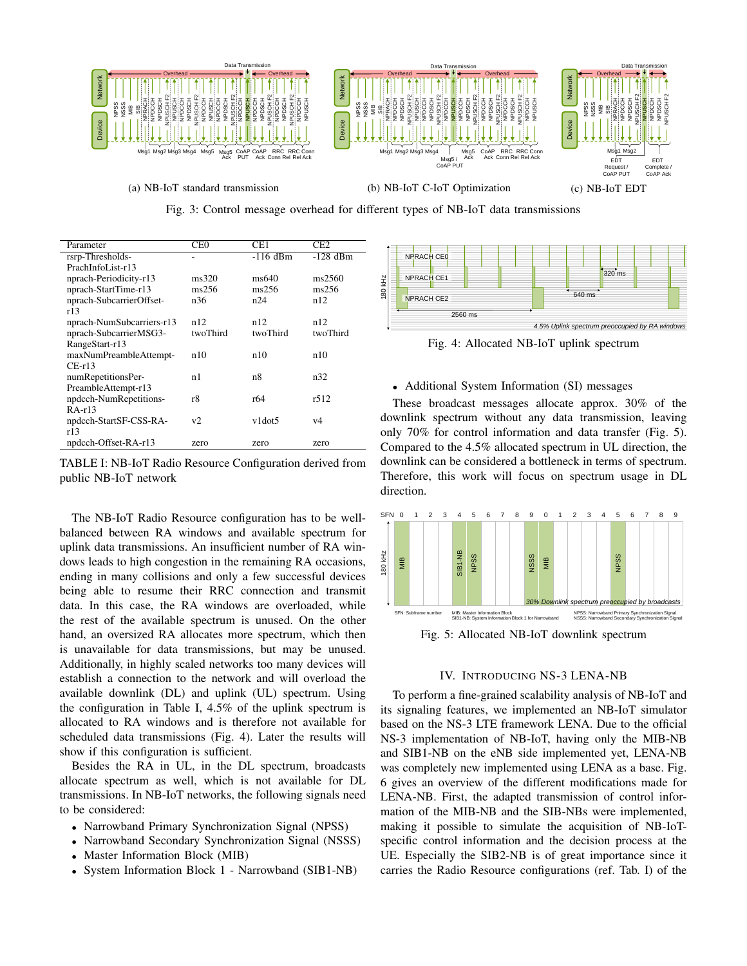

 $\overline{ }$ **NPUSCH** NPDCCH  $\overline{a}$ Fig. 3: Control message overhead for different types of NB-IoT data transmissions

| Parameter                 | CE <sub>0</sub> | CE <sub>1</sub> | CE <sub>2</sub> |                                                          |
|---------------------------|-----------------|-----------------|-----------------|----------------------------------------------------------|
| rsrp-Thresholds-          |                 | $-116$ dBm      | $-128$ dBm      | NPRACH CEO                                               |
| PrachInfoList-r13         |                 |                 |                 |                                                          |
| nprach-Periodicity-r13    | ms320           | ms640           | ms2560          | NPRACH CE1                                               |
| nprach-StartTime-r13      | ms256           | ms256           | ms256           | 180 kHz<br>640 ms                                        |
| nprach-SubcarrierOffset-  | n36             | n24             | n12             | <b>NPRACH CE2</b>                                        |
| r13                       |                 |                 |                 | 2560 ms                                                  |
| nprach-NumSubcarriers-r13 | n12             | n12             | n12             | 4.5% Uplink spectrum preoccup                            |
| nprach-SubcarrierMSG3-    | twoThird        | twoThird        | twoThird        |                                                          |
| RangeStart-r13            |                 |                 |                 | Fig. 4: Allocated NB-IoT uplink spectru                  |
| maxNumPreambleAttempt-    | n10             | n10             | n10             |                                                          |
| $CE-r13$                  |                 |                 |                 |                                                          |
| numRepetitionsPer-        | n1              | n8              | n32             |                                                          |
| PreambleAttempt-r13       |                 |                 |                 | • Additional System Information (SI) messages            |
| npdcch-NumRepetitions-    | r8              | r64             | r512            | These broadcast messages allocate approx. 3              |
| $RA-13$                   |                 |                 |                 |                                                          |
| npdcch-StartSF-CSS-RA-    | v2              | v1dot5          | v4              | downlink spectrum without any data transmissi            |
| r13                       |                 |                 |                 | only 70% for control information and data transi         |
| npdcch-Offset-RA-r13      | zero            | zero            | zero            | Compared to the $\Lambda$ 5% allocated spectrum in III d |

TABLE I: NB-IoT Radio Resource Configuration derived from public NB-IoT network

The NB-IoT Radio Resource configuration has to be wellbalanced between RA windows and available spectrum for uplink data transmissions. An insufficient number of RA windows leads to high congestion in the remaining RA occasions, ending in many collisions and only a few successful devices being able to resume their RRC connection and transmit data. In this case, the RA windows are overloaded, while the rest of the available spectrum is unused. On the other hand, an oversized RA allocates more spectrum, which then is unavailable for data transmissions, but may be unused. Additionally, in highly scaled networks too many devices will establish a connection to the network and will overload the available downlink (DL) and uplink (UL) spectrum. Using the configuration in Table I, 4.5% of the uplink spectrum is allocated to RA windows and is therefore not available for scheduled data transmissions (Fig. 4). Later the results will show if this configuration is sufficient. pnach Periodicity<sup>-173</sup> ms320<br> **pnach Periodicity**<sup>-173</sup> ms256 ms256 ms256 ms256 ms256 ms256 ms256 ms256 ms256 ms256 ms256 ms256 ms256 ms256 ms256 ms256 ms256 ms256 ms256 ms256 ms256 ms256 ms256 ms256 ms256 ms256 ms256 ms

Besides the RA in UL, in the DL spectrum, broadcasts allocate spectrum as well, which is not available for DL transmissions. In NB-IoT networks, the following signals need to be considered:

- Narrowband Primary Synchronization Signal (NPSS)
- Narrowband Secondary Synchronization Signal (NSSS)
- Master Information Block (MIB)
- 



Fig. 4: Allocated NB-IoT uplink spectrum

#### • Additional System Information (SI) messages

These broadcast messages allocate approx. 30% of the downlink spectrum without any data transmission, leaving only 70% for control information and data transfer (Fig. 5). Compared to the 4.5% allocated spectrum in UL direction, the downlink can be considered a bottleneck in terms of spectrum. Therefore, this work will focus on spectrum usage in DL direction.



Fig. 5: Allocated NB-IoT downlink spectrum

# IV. INTRODUCING NS-3 LENA-NB

To perform a fine-grained scalability analysis of NB-IoT and its signaling features, we implemented an NB-IoT simulator based on the NS-3 LTE framework LENA. Due to the official NS-3 implementation of NB-IoT, having only the MIB-NB and SIB1-NB on the eNB side implemented yet, LENA-NB was completely new implemented using LENA as a base. Fig. 6 gives an overview of the different modifications made for LENA-NB. First, the adapted transmission of control information of the MIB-NB and the SIB-NBs were implemented, making it possible to simulate the acquisition of NB-IoTspecific control information and the decision process at the UE. Especially the SIB2-NB is of great importance since it carries the Radio Resource configurations (ref. Tab. I) of the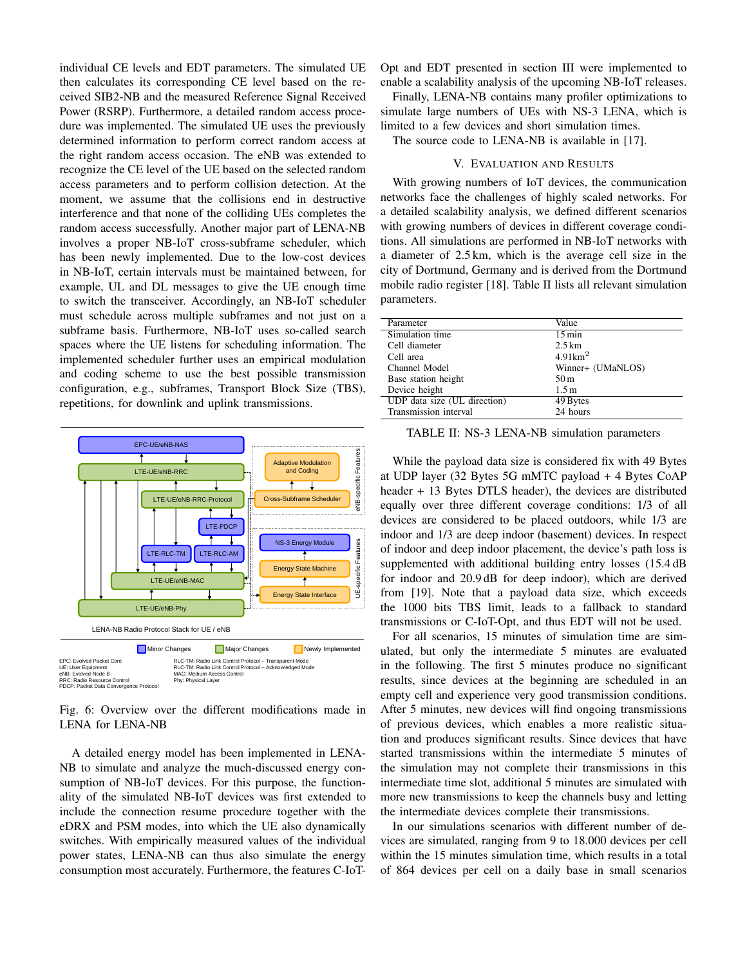individual CE levels and EDT parameters. The simulated UE then calculates its corresponding CE level based on the received SIB2-NB and the measured Reference Signal Received Power (RSRP). Furthermore, a detailed random access procedure was implemented. The simulated UE uses the previously determined information to perform correct random access at the right random access occasion. The eNB was extended to recognize the CE level of the UE based on the selected random access parameters and to perform collision detection. At the moment, we assume that the collisions end in destructive interference and that none of the colliding UEs completes the random access successfully. Another major part of LENA-NB involves a proper NB-IoT cross-subframe scheduler, which has been newly implemented. Due to the low-cost devices in NB-IoT, certain intervals must be maintained between, for example, UL and DL messages to give the UE enough time to switch the transceiver. Accordingly, an NB-IoT scheduler must schedule across multiple subframes and not just on a subframe basis. Furthermore, NB-IoT uses so-called search spaces where the UE listens for scheduling information. The implemented scheduler further uses an empirical modulation and coding scheme to use the best possible transmission configuration, e.g., subframes, Transport Block Size (TBS), repetitions, for downlink and uplink transmissions.



Fig. 6: Overview over the different modifications made in LENA for LENA-NB

A detailed energy model has been implemented in LENA-NB to simulate and analyze the much-discussed energy consumption of NB-IoT devices. For this purpose, the functionality of the simulated NB-IoT devices was first extended to include the connection resume procedure together with the eDRX and PSM modes, into which the UE also dynamically switches. With empirically measured values of the individual power states, LENA-NB can thus also simulate the energy consumption most accurately. Furthermore, the features C-IoT- Opt and EDT presented in section III were implemented to enable a scalability analysis of the upcoming NB-IoT releases.

Finally, LENA-NB contains many profiler optimizations to simulate large numbers of UEs with NS-3 LENA, which is limited to a few devices and short simulation times.

The source code to LENA-NB is available in [17].

# V. EVALUATION AND RESULTS

With growing numbers of IoT devices, the communication networks face the challenges of highly scaled networks. For a detailed scalability analysis, we defined different scenarios with growing numbers of devices in different coverage conditions. All simulations are performed in NB-IoT networks with a diameter of 2.5 km, which is the average cell size in the city of Dortmund, Germany and is derived from the Dortmund mobile radio register [18]. Table II lists all relevant simulation parameters.

| Parameter                    | Value              |
|------------------------------|--------------------|
| Simulation time              | $15 \text{ min}$   |
| Cell diameter                | $2.5 \mathrm{km}$  |
| Cell area                    | $4.91 \text{km}^2$ |
| Channel Model                | Winner+ (UMaNLOS)  |
| Base station height          | 50 <sub>m</sub>    |
| Device height                | 1.5 <sub>m</sub>   |
| UDP data size (UL direction) | 49 Bytes           |
| Transmission interval        | 24 hours           |

TABLE II: NS-3 LENA-NB simulation parameters

While the payload data size is considered fix with 49 Bytes at UDP layer (32 Bytes 5G mMTC payload + 4 Bytes CoAP header + 13 Bytes DTLS header), the devices are distributed equally over three different coverage conditions: 1/3 of all devices are considered to be placed outdoors, while 1/3 are indoor and 1/3 are deep indoor (basement) devices. In respect of indoor and deep indoor placement, the device's path loss is supplemented with additional building entry losses (15.4 dB for indoor and 20.9 dB for deep indoor), which are derived from [19]. Note that a payload data size, which exceeds the 1000 bits TBS limit, leads to a fallback to standard transmissions or C-IoT-Opt, and thus EDT will not be used.

For all scenarios, 15 minutes of simulation time are simulated, but only the intermediate 5 minutes are evaluated in the following. The first 5 minutes produce no significant results, since devices at the beginning are scheduled in an empty cell and experience very good transmission conditions. After 5 minutes, new devices will find ongoing transmissions of previous devices, which enables a more realistic situation and produces significant results. Since devices that have started transmissions within the intermediate 5 minutes of the simulation may not complete their transmissions in this intermediate time slot, additional 5 minutes are simulated with more new transmissions to keep the channels busy and letting the intermediate devices complete their transmissions.

In our simulations scenarios with different number of devices are simulated, ranging from 9 to 18.000 devices per cell within the 15 minutes simulation time, which results in a total of 864 devices per cell on a daily base in small scenarios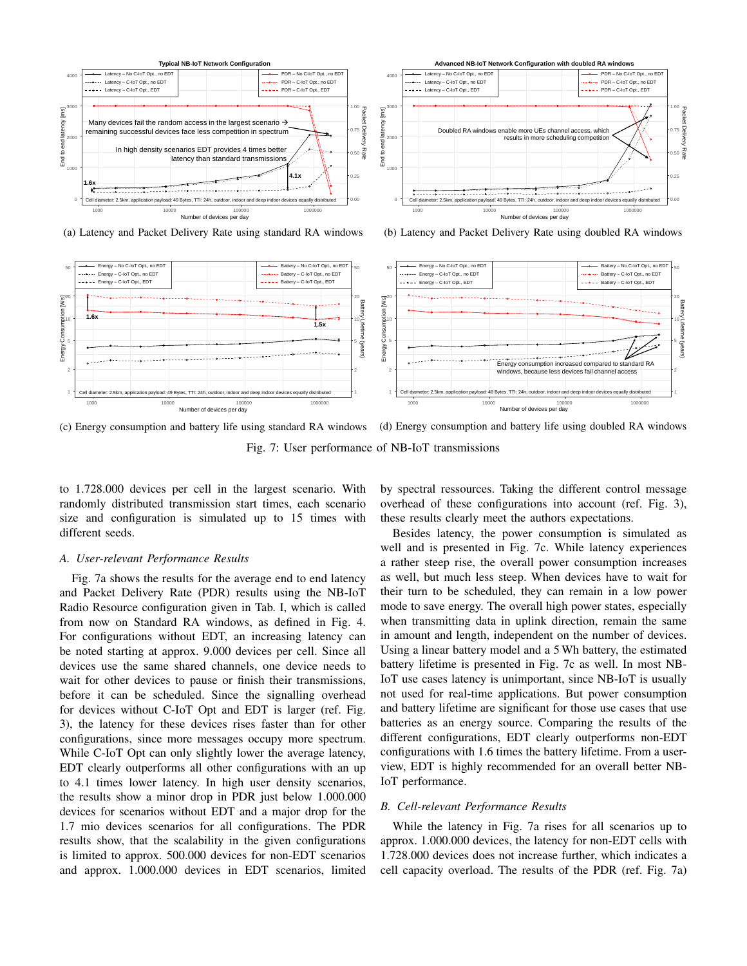

(a) Latency and Packet Delivery Rate using standard RA windows





(c) Energy consumption and battery life using standard RA windows (d) Energy consumption and battery life using doubled RA windows

Fig. 7: User performance of NB-IoT transmissions

to 1.728.000 devices per cell in the largest scenario. With randomly distributed transmission start times, each scenario size and configuration is simulated up to 15 times with different seeds.

## *A. User-relevant Performance Results*

Fig. 7a shows the results for the average end to end latency and Packet Delivery Rate (PDR) results using the NB-IoT Radio Resource configuration given in Tab. I, which is called from now on Standard RA windows, as defined in Fig. 4. For configurations without EDT, an increasing latency can be noted starting at approx. 9.000 devices per cell. Since all devices use the same shared channels, one device needs to wait for other devices to pause or finish their transmissions, before it can be scheduled. Since the signalling overhead for devices without C-IoT Opt and EDT is larger (ref. Fig. 3), the latency for these devices rises faster than for other configurations, since more messages occupy more spectrum. While C-IoT Opt can only slightly lower the average latency, EDT clearly outperforms all other configurations with an up to 4.1 times lower latency. In high user density scenarios, the results show a minor drop in PDR just below 1.000.000 devices for scenarios without EDT and a major drop for the 1.7 mio devices scenarios for all configurations. The PDR results show, that the scalability in the given configurations is limited to approx. 500.000 devices for non-EDT scenarios and approx. 1.000.000 devices in EDT scenarios, limited by spectral ressources. Taking the different control message overhead of these configurations into account (ref. Fig. 3), these results clearly meet the authors expectations.

Besides latency, the power consumption is simulated as well and is presented in Fig. 7c. While latency experiences a rather steep rise, the overall power consumption increases as well, but much less steep. When devices have to wait for their turn to be scheduled, they can remain in a low power mode to save energy. The overall high power states, especially when transmitting data in uplink direction, remain the same in amount and length, independent on the number of devices. Using a linear battery model and a 5 Wh battery, the estimated battery lifetime is presented in Fig. 7c as well. In most NB-IoT use cases latency is unimportant, since NB-IoT is usually not used for real-time applications. But power consumption and battery lifetime are significant for those use cases that use batteries as an energy source. Comparing the results of the different configurations, EDT clearly outperforms non-EDT configurations with 1.6 times the battery lifetime. From a userview, EDT is highly recommended for an overall better NB-IoT performance.

# *B. Cell-relevant Performance Results*

While the latency in Fig. 7a rises for all scenarios up to approx. 1.000.000 devices, the latency for non-EDT cells with 1.728.000 devices does not increase further, which indicates a cell capacity overload. The results of the PDR (ref. Fig. 7a)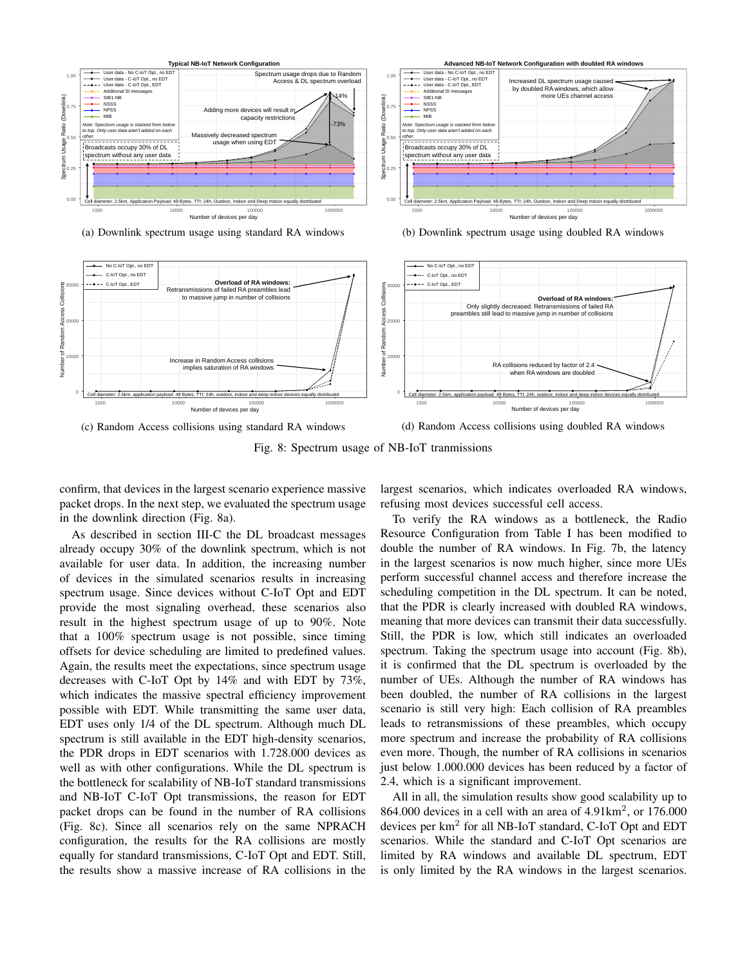

(a) Downlink spectrum usage using standard RA windows

(b) Downlink spectrum usage using doubled RA windows



(c) Random Access collisions using standard RA windows

(d) Random Access collisions using doubled RA windows

Fig. 8: Spectrum usage of NB-IoT tranmissions

confirm, that devices in the largest scenario experience massive packet drops. In the next step, we evaluated the spectrum usage in the downlink direction (Fig. 8a).

As described in section III-C the DL broadcast messages already occupy 30% of the downlink spectrum, which is not available for user data. In addition, the increasing number of devices in the simulated scenarios results in increasing spectrum usage. Since devices without C-IoT Opt and EDT provide the most signaling overhead, these scenarios also result in the highest spectrum usage of up to 90%. Note that a 100% spectrum usage is not possible, since timing offsets for device scheduling are limited to predefined values. Again, the results meet the expectations, since spectrum usage decreases with C-IoT Opt by 14% and with EDT by 73%, which indicates the massive spectral efficiency improvement possible with EDT. While transmitting the same user data, EDT uses only 1/4 of the DL spectrum. Although much DL spectrum is still available in the EDT high-density scenarios, the PDR drops in EDT scenarios with 1.728.000 devices as well as with other configurations. While the DL spectrum is the bottleneck for scalability of NB-IoT standard transmissions and NB-IoT C-IoT Opt transmissions, the reason for EDT packet drops can be found in the number of RA collisions (Fig. 8c). Since all scenarios rely on the same NPRACH configuration, the results for the RA collisions are mostly equally for standard transmissions, C-IoT Opt and EDT. Still, the results show a massive increase of RA collisions in the largest scenarios, which indicates overloaded RA windows, refusing most devices successful cell access.

To verify the RA windows as a bottleneck, the Radio Resource Configuration from Table I has been modified to double the number of RA windows. In Fig. 7b, the latency in the largest scenarios is now much higher, since more UEs perform successful channel access and therefore increase the scheduling competition in the DL spectrum. It can be noted, that the PDR is clearly increased with doubled RA windows, meaning that more devices can transmit their data successfully. Still, the PDR is low, which still indicates an overloaded spectrum. Taking the spectrum usage into account (Fig. 8b), it is confirmed that the DL spectrum is overloaded by the number of UEs. Although the number of RA windows has been doubled, the number of RA collisions in the largest scenario is still very high: Each collision of RA preambles leads to retransmissions of these preambles, which occupy more spectrum and increase the probability of RA collisions even more. Though, the number of RA collisions in scenarios just below 1.000.000 devices has been reduced by a factor of 2.4, which is a significant improvement.

All in all, the simulation results show good scalability up to 864.000 devices in a cell with an area of 4.91km<sup>2</sup> , or 176.000 devices per km<sup>2</sup> for all NB-IoT standard, C-IoT Opt and EDT scenarios. While the standard and C-IoT Opt scenarios are limited by RA windows and available DL spectrum, EDT is only limited by the RA windows in the largest scenarios.